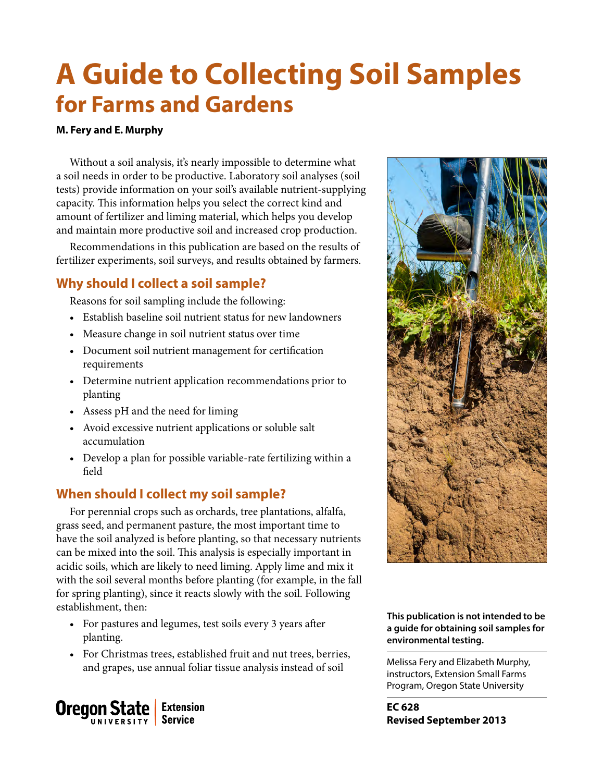# **A Guide to Collecting Soil Samples for Farms and Gardens**

## **M. Fery and E. Murphy**

Without a soil analysis, it's nearly impossible to determine what a soil needs in order to be productive. Laboratory soil analyses (soil tests) provide information on your soil's available nutrient-supplying capacity. This information helps you select the correct kind and amount of fertilizer and liming material, which helps you develop and maintain more productive soil and increased crop production.

Recommendations in this publication are based on the results of fertilizer experiments, soil surveys, and results obtained by farmers.

## **Why should I collect a soil sample?**

Reasons for soil sampling include the following:

- Establish baseline soil nutrient status for new landowners
- Measure change in soil nutrient status over time
- Document soil nutrient management for certification requirements
- Determine nutrient application recommendations prior to planting
- Assess pH and the need for liming
- Avoid excessive nutrient applications or soluble salt accumulation
- Develop a plan for possible variable-rate fertilizing within a field

## **When should I collect my soil sample?**

For perennial crops such as orchards, tree plantations, alfalfa, grass seed, and permanent pasture, the most important time to have the soil analyzed is before planting, so that necessary nutrients can be mixed into the soil. This analysis is especially important in acidic soils, which are likely to need liming. Apply lime and mix it with the soil several months before planting (for example, in the fall for spring planting), since it reacts slowly with the soil. Following establishment, then:

- For pastures and legumes, test soils every 3 years after planting.
- For Christmas trees, established fruit and nut trees, berries, and grapes, use annual foliar tissue analysis instead of soil Melissa Fery and Elizabeth Murphy,





#### **This publication is not intended to be a guide for obtaining soil samples for environmental testing.**

instructors, Extension Small Farms Program, Oregon State University

**EC 628 Revised September 2013**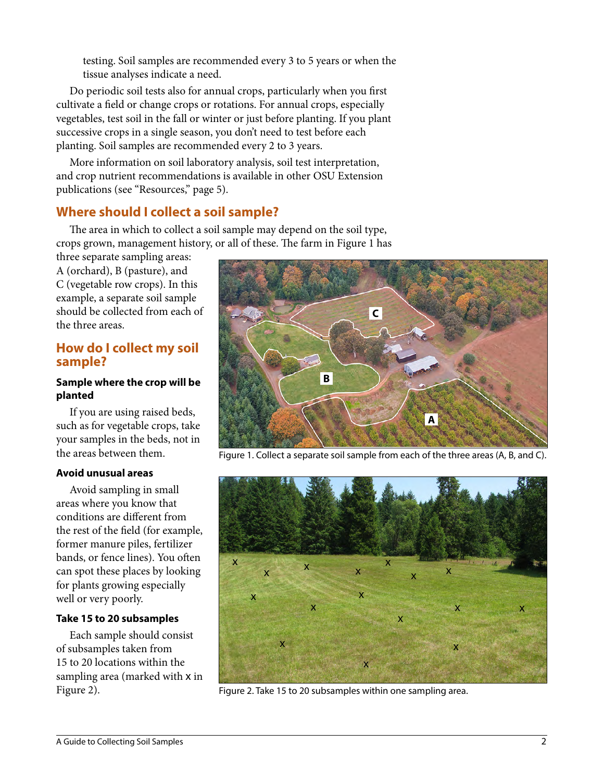testing. Soil samples are recommended every 3 to 5 years or when the tissue analyses indicate a need.

Do periodic soil tests also for annual crops, particularly when you first cultivate a field or change crops or rotations. For annual crops, especially vegetables, test soil in the fall or winter or just before planting. If you plant successive crops in a single season, you don't need to test before each planting. Soil samples are recommended every 2 to 3 years.

More information on soil laboratory analysis, soil test interpretation, and crop nutrient recommendations is available in other OSU Extension publications (see "Resources," page 5).

# **Where should I collect a soil sample?**

The area in which to collect a soil sample may depend on the soil type, crops grown, management history, or all of these. The farm in Figure 1 has

three separate sampling areas: A (orchard), B (pasture), and C (vegetable row crops). In this example, a separate soil sample should be collected from each of the three areas.

## **How do I collect my soil sample?**

#### **Sample where the crop will be planted**

If you are using raised beds, such as for vegetable crops, take your samples in the beds, not in the areas between them.

#### **Avoid unusual areas**

Avoid sampling in small areas where you know that conditions are different from the rest of the field (for example, former manure piles, fertilizer bands, or fence lines). You often can spot these places by looking for plants growing especially well or very poorly.

#### **Take 15 to 20 subsamples**

Each sample should consist of subsamples taken from 15 to 20 locations within the sampling area (marked with х in



Figure 1. Collect a separate soil sample from each of the three areas (A, B, and C).



Figure 2). Figure 2. Take 15 to 20 subsamples within one sampling area.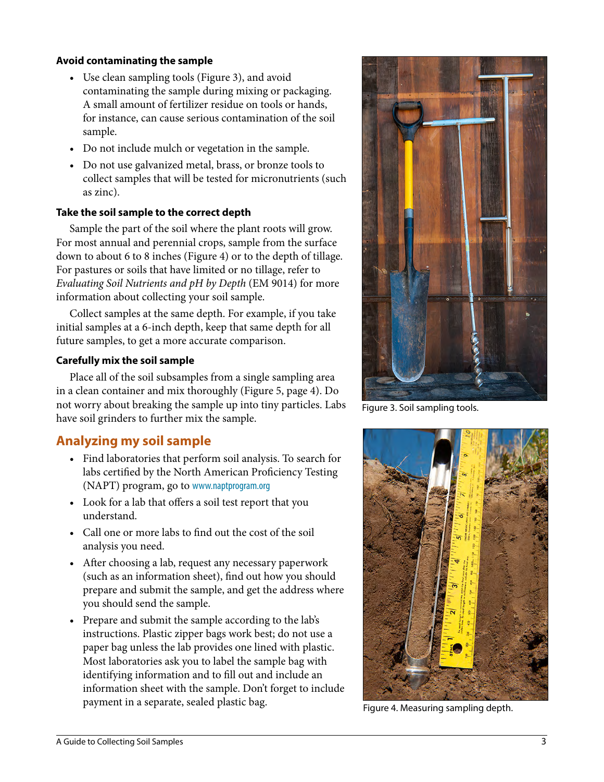#### **Avoid contaminating the sample**

- Use clean sampling tools (Figure 3), and avoid contaminating the sample during mixing or packaging. A small amount of fertilizer residue on tools or hands, for instance, can cause serious contamination of the soil sample.
- Do not include mulch or vegetation in the sample.
- Do not use galvanized metal, brass, or bronze tools to collect samples that will be tested for micronutrients (such as zinc).

#### **Take the soil sample to the correct depth**

Sample the part of the soil where the plant roots will grow. For most annual and perennial crops, sample from the surface down to about 6 to 8 inches (Figure 4) or to the depth of tillage. For pastures or soils that have limited or no tillage, refer to *Evaluating Soil Nutrients and pH by Depth* (EM 9014) for more information about collecting your soil sample.

Collect samples at the same depth. For example, if you take initial samples at a 6-inch depth, keep that same depth for all future samples, to get a more accurate comparison.

#### **Carefully mix the soil sample**

Place all of the soil subsamples from a single sampling area in a clean container and mix thoroughly (Figure 5, page 4). Do not worry about breaking the sample up into tiny particles. Labs have soil grinders to further mix the sample.

# **Analyzing my soil sample**

- Find laboratories that perform soil analysis. To search for labs certified by the North American Proficiency Testing (NAPT) program, go to <www.naptprogram.org>
- Look for a lab that offers a soil test report that you understand.
- Call one or more labs to find out the cost of the soil analysis you need.
- After choosing a lab, request any necessary paperwork (such as an information sheet), find out how you should prepare and submit the sample, and get the address where you should send the sample.
- Prepare and submit the sample according to the lab's instructions. Plastic zipper bags work best; do not use a paper bag unless the lab provides one lined with plastic. Most laboratories ask you to label the sample bag with identifying information and to fill out and include an information sheet with the sample. Don't forget to include payment in a separate, sealed plastic bag.<br>Figure 4. Measuring sampling depth.



Figure 3. Soil sampling tools.

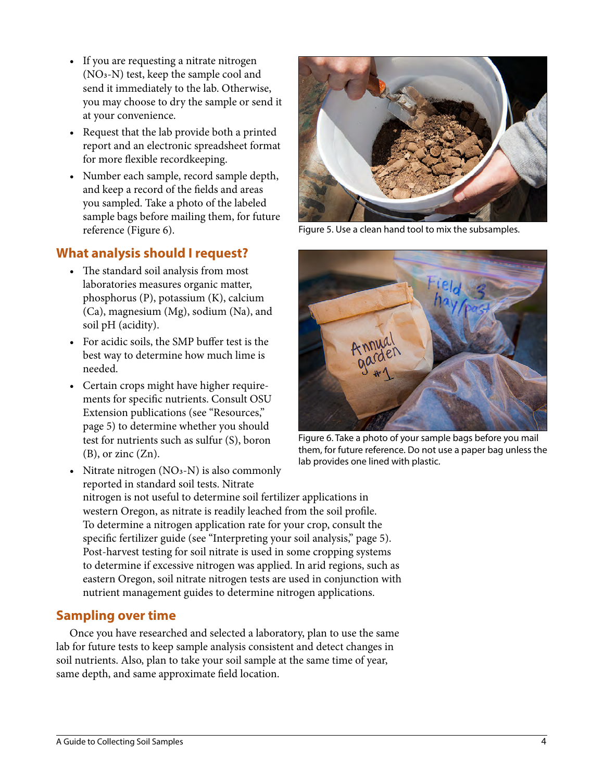- If you are requesting a nitrate nitrogen (NO3-N) test, keep the sample cool and send it immediately to the lab. Otherwise, you may choose to dry the sample or send it at your convenience.
- Request that the lab provide both a printed report and an electronic spreadsheet format for more flexible recordkeeping.
- Number each sample, record sample depth, and keep a record of the fields and areas you sampled. Take a photo of the labeled sample bags before mailing them, for future reference (Figure 6).

# **What analysis should I request?**

- The standard soil analysis from most laboratories measures organic matter, phosphorus (P), potassium (K), calcium (Ca), magnesium (Mg), sodium (Na), and soil pH (acidity).
- For acidic soils, the SMP buffer test is the best way to determine how much lime is needed.
- Certain crops might have higher requirements for specific nutrients. Consult OSU Extension publications (see "Resources," page 5) to determine whether you should test for nutrients such as sulfur (S), boron  $(B)$ , or zinc  $(Zn)$ .



Figure 5. Use a clean hand tool to mix the subsamples.



Figure 6. Take a photo of your sample bags before you mail them, for future reference. Do not use a paper bag unless the lab provides one lined with plastic.

• Nitrate nitrogen  $(NO<sub>3</sub>-N)$  is also commonly reported in standard soil tests. Nitrate nitrogen is not useful to determine soil fertilizer applications in western Oregon, as nitrate is readily leached from the soil profile. To determine a nitrogen application rate for your crop, consult the specific fertilizer guide (see "Interpreting your soil analysis," page 5). Post-harvest testing for soil nitrate is used in some cropping systems to determine if excessive nitrogen was applied. In arid regions, such as eastern Oregon, soil nitrate nitrogen tests are used in conjunction with nutrient management guides to determine nitrogen applications.

# **Sampling over time**

Once you have researched and selected a laboratory, plan to use the same lab for future tests to keep sample analysis consistent and detect changes in soil nutrients. Also, plan to take your soil sample at the same time of year, same depth, and same approximate field location.